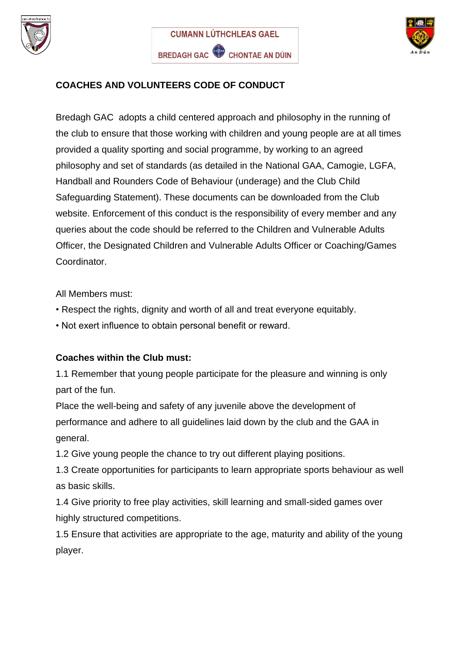





## **COACHES AND VOLUNTEERS CODE OF CONDUCT**

Bredagh GAC adopts a child centered approach and philosophy in the running of the club to ensure that those working with children and young people are at all times provided a quality sporting and social programme, by working to an agreed philosophy and set of standards (as detailed in the National GAA, Camogie, LGFA, Handball and Rounders Code of Behaviour (underage) and the Club Child Safeguarding Statement). These documents can be downloaded from the Club website. Enforcement of this conduct is the responsibility of every member and any queries about the code should be referred to the Children and Vulnerable Adults Officer, the Designated Children and Vulnerable Adults Officer or Coaching/Games Coordinator.

All Members must:

- Respect the rights, dignity and worth of all and treat everyone equitably.
- Not exert influence to obtain personal benefit or reward.

## **Coaches within the Club must:**

1.1 Remember that young people participate for the pleasure and winning is only part of the fun.

Place the well-being and safety of any juvenile above the development of performance and adhere to all guidelines laid down by the club and the GAA in general.

1.2 Give young people the chance to try out different playing positions.

1.3 Create opportunities for participants to learn appropriate sports behaviour as well as basic skills.

1.4 Give priority to free play activities, skill learning and small-sided games over highly structured competitions.

1.5 Ensure that activities are appropriate to the age, maturity and ability of the young player.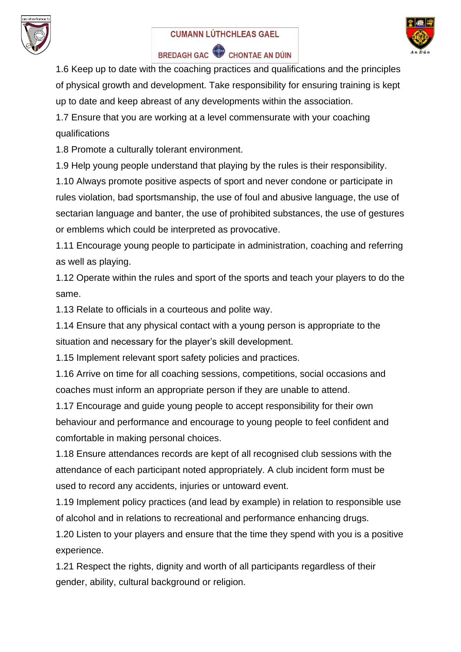

## **CUMANN LÚTHCHLEAS GAEL**



## BREDAGH GAC CHONTAE AN DÚIN

1.6 Keep up to date with the coaching practices and qualifications and the principles of physical growth and development. Take responsibility for ensuring training is kept up to date and keep abreast of any developments within the association.

1.7 Ensure that you are working at a level commensurate with your coaching qualifications

1.8 Promote a culturally tolerant environment.

1.9 Help young people understand that playing by the rules is their responsibility.

1.10 Always promote positive aspects of sport and never condone or participate in rules violation, bad sportsmanship, the use of foul and abusive language, the use of sectarian language and banter, the use of prohibited substances, the use of gestures or emblems which could be interpreted as provocative.

1.11 Encourage young people to participate in administration, coaching and referring as well as playing.

1.12 Operate within the rules and sport of the sports and teach your players to do the same.

1.13 Relate to officials in a courteous and polite way.

1.14 Ensure that any physical contact with a young person is appropriate to the situation and necessary for the player's skill development.

1.15 Implement relevant sport safety policies and practices.

1.16 Arrive on time for all coaching sessions, competitions, social occasions and coaches must inform an appropriate person if they are unable to attend.

1.17 Encourage and guide young people to accept responsibility for their own behaviour and performance and encourage to young people to feel confident and comfortable in making personal choices.

1.18 Ensure attendances records are kept of all recognised club sessions with the attendance of each participant noted appropriately. A club incident form must be used to record any accidents, injuries or untoward event.

1.19 Implement policy practices (and lead by example) in relation to responsible use of alcohol and in relations to recreational and performance enhancing drugs.

1.20 Listen to your players and ensure that the time they spend with you is a positive experience.

1.21 Respect the rights, dignity and worth of all participants regardless of their gender, ability, cultural background or religion.